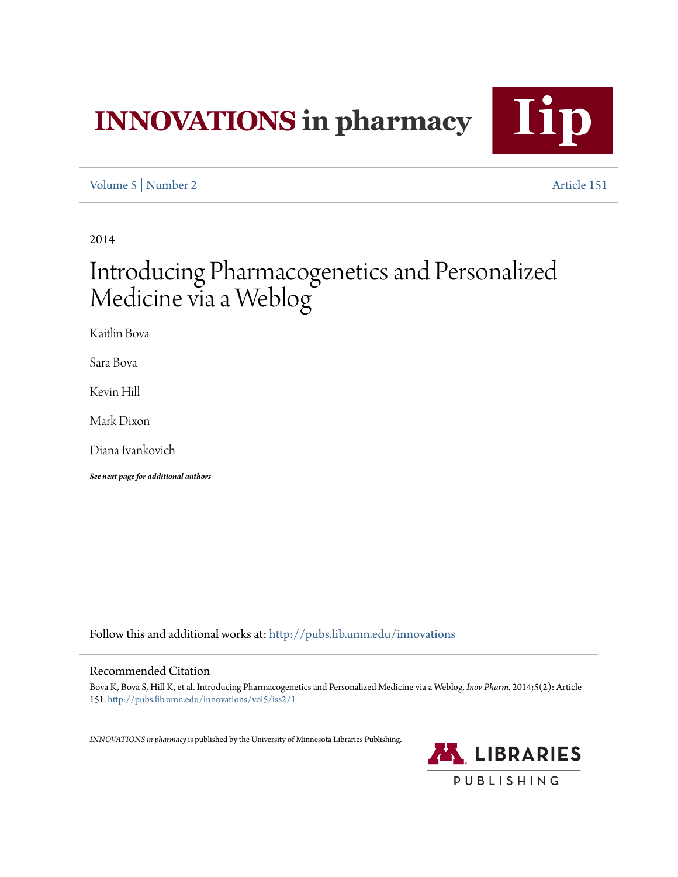# **INNOVATIONS** in pharmacy



[Volume 5](http://pubs.lib.umn.edu/innovations/vol5?utm_source=pubs.lib.umn.edu%2Finnovations%2Fvol5%2Fiss2%2F1&utm_medium=PDF&utm_campaign=PDFCoverPages) | [Number 2](http://pubs.lib.umn.edu/innovations/vol5/iss2?utm_source=pubs.lib.umn.edu%2Finnovations%2Fvol5%2Fiss2%2F1&utm_medium=PDF&utm_campaign=PDFCoverPages) [Article 151](http://pubs.lib.umn.edu/innovations/vol5/iss2/1?utm_source=pubs.lib.umn.edu%2Finnovations%2Fvol5%2Fiss2%2F1&utm_medium=PDF&utm_campaign=PDFCoverPages)

2014

## Introducing Pharmacogenetics and Personalized Medicine via a Weblog

Kaitlin Bova

Sara Bova

Kevin Hill

Mark Dixon

Diana Ivankovich

*See next page for additional authors*

Follow this and additional works at: [http://pubs.lib.umn.edu/innovations](http://pubs.lib.umn.edu/innovations?utm_source=pubs.lib.umn.edu%2Finnovations%2Fvol5%2Fiss2%2F1&utm_medium=PDF&utm_campaign=PDFCoverPages)

#### Recommended Citation

Bova K, Bova S, Hill K, et al. Introducing Pharmacogenetics and Personalized Medicine via a Weblog. *Inov Pharm.* 2014;5(2): Article 151. [http://pubs.lib.umn.edu/innovations/vol5/iss2/1](http://pubs.lib.umn.edu/innovations/vol5/iss2/1?utm_source=pubs.lib.umn.edu%2Finnovations%2Fvol5%2Fiss2%2F1&utm_medium=PDF&utm_campaign=PDFCoverPages)

*INNOVATIONS in pharmacy*is published by the University of Minnesota Libraries Publishing.

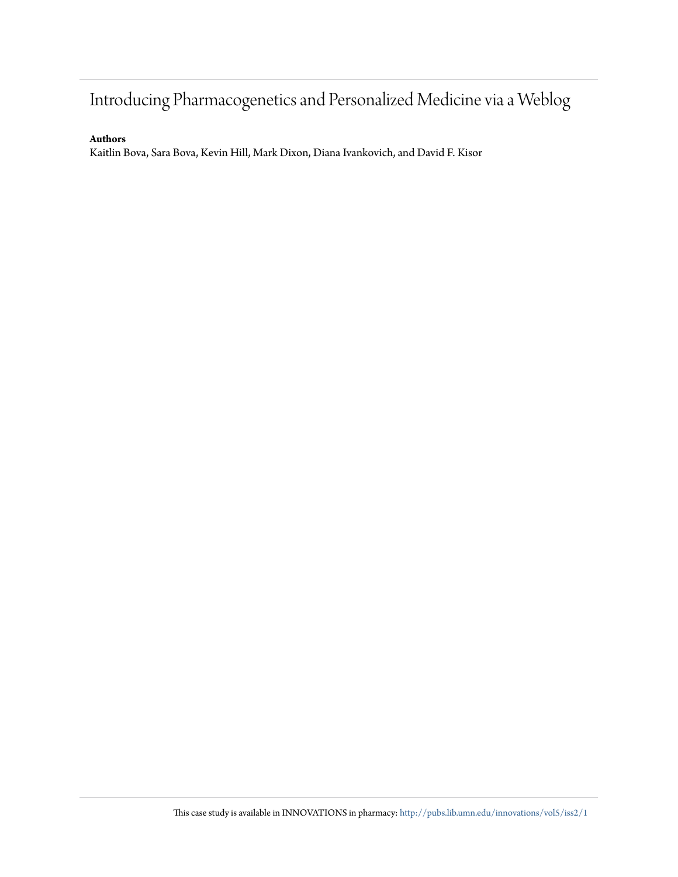### Introducing Pharmacogenetics and Personalized Medicine via a Weblog

#### **Authors**

Kaitlin Bova, Sara Bova, Kevin Hill, Mark Dixon, Diana Ivankovich, and David F. Kisor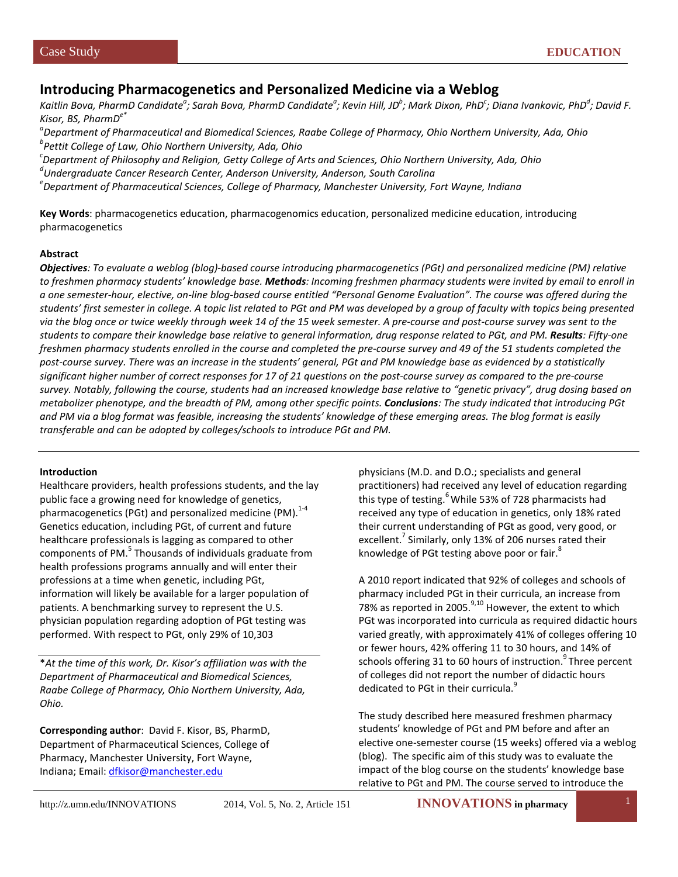#### **Introducing Pharmacogenetics and Personalized Medicine via a Weblog**

Kaitlin Bova, PharmD Candidate<sup>a</sup>; Sarah Bova, PharmD Candidate<sup>a</sup>; Kevin Hill, JD<sup>b</sup>; Mark Dixon, PhD<sup>c</sup>; Diana Ivankovic, PhD<sup>d</sup>; David F. *Kisor, BS, PharmDe\**

*a Department of Pharmaceutical and Biomedical Sciences, Raabe College of Pharmacy, Ohio Northern University, Ada, Ohio b Pettit College of Law, Ohio Northern University, Ada, Ohio*

*c Department of Philosophy and Religion, Getty College of Arts and Sciences, Ohio Northern University, Ada, Ohio <sup>d</sup>*

*Undergraduate Cancer Research Center, Anderson University, Anderson, South Carolina*

*e Department of Pharmaceutical Sciences, College of Pharmacy, Manchester University, Fort Wayne, Indiana*

**Key Words**: pharmacogenetics education, pharmacogenomics education, personalized medicine education, introducing pharmacogenetics

#### **Abstract**

*Objectives: To evaluate a weblog (blog)-based course introducing pharmacogenetics (PGt) and personalized medicine (PM) relative to freshmen pharmacy students' knowledge base. Methods: Incoming freshmen pharmacy students were invited by email to enroll in a one semester-hour, elective, on-line blog-based course entitled "Personal Genome Evaluation". The course was offered during the students' first semester in college. A topic list related to PGt and PM was developed by a group of faculty with topics being presented via the blog once or twice weekly through week 14 of the 15 week semester. A pre-course and post-course survey was sent to the students to compare their knowledge base relative to general information, drug response related to PGt, and PM. Results: Fifty-one freshmen pharmacy students enrolled in the course and completed the pre-course survey and 49 of the 51 students completed the post-course survey. There was an increase in the students' general, PGt and PM knowledge base as evidenced by a statistically significant higher number of correct responses for 17 of 21 questions on the post-course survey as compared to the pre-course survey. Notably, following the course, students had an increased knowledge base relative to "genetic privacy", drug dosing based on metabolizer phenotype, and the breadth of PM, among other specific points. Conclusions: The study indicated that introducing PGt and PM via a blog format was feasible, increasing the students' knowledge of these emerging areas. The blog format is easily transferable and can be adopted by colleges/schools to introduce PGt and PM.*

#### **Introduction**

Healthcare providers, health professions students, and the lay public face a growing need for knowledge of genetics, pharmacogenetics (PGt) and personalized medicine (PM). $^{1-4}$ Genetics education, including PGt, of current and future healthcare professionals is lagging as compared to other components of PM.<sup>5</sup> Thousands of individuals graduate from health professions programs annually and will enter their professions at a time when genetic, including PGt, information will likely be available for a larger population of patients. A benchmarking survey to represent the U.S. physician population regarding adoption of PGt testing was performed. With respect to PGt, only 29% of 10,303

\**At the time of this work, Dr. Kisor's affiliation was with the Department of Pharmaceutical and Biomedical Sciences, Raabe College of Pharmacy, Ohio Northern University, Ada, Ohio.*

**Corresponding author**: David F. Kisor, BS, PharmD, Department of Pharmaceutical Sciences, College of Pharmacy, Manchester University, Fort Wayne, Indiana; Email[: dfkisor@manchester.edu](mailto:dfkisor@manchester.edu)

physicians (M.D. and D.O.; specialists and general practitioners) had received any level of education regarding this type of testing.<sup>6</sup> While 53% of 728 pharmacists had received any type of education in genetics, only 18% rated their current understanding of PGt as good, very good, or excellent.<sup>7</sup> Similarly, only 13% of 206 nurses rated their knowledge of PGt testing above poor or fair.<sup>8</sup>

A 2010 report indicated that 92% of colleges and schools of pharmacy included PGt in their curricula, an increase from 78% as reported in 2005. $9,10$  However, the extent to which PGt was incorporated into curricula as required didactic hours varied greatly, with approximately 41% of colleges offering 10 or fewer hours, 42% offering 11 to 30 hours, and 14% of schools offering 31 to 60 hours of instruction.<sup>9</sup> Three percent of colleges did not report the number of didactic hours dedicated to PGt in their curricula.<sup>9</sup>

The study described here measured freshmen pharmacy students' knowledge of PGt and PM before and after an elective one-semester course (15 weeks) offered via a weblog (blog). The specific aim of this study was to evaluate the impact of the blog course on the students' knowledge base relative to PGt and PM. The course served to introduce the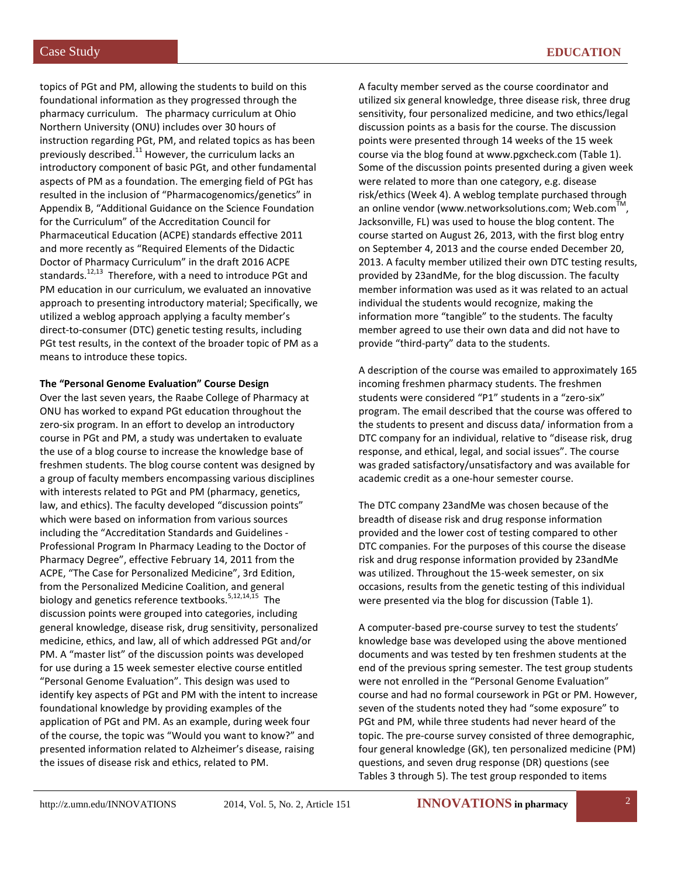topics of PGt and PM, allowing the students to build on this foundational information as they progressed through the pharmacy curriculum. The pharmacy curriculum at Ohio Northern University (ONU) includes over 30 hours of instruction regarding PGt, PM, and related topics as has been previously described.<sup>11</sup> However, the curriculum lacks an introductory component of basic PGt, and other fundamental aspects of PM as a foundation. The emerging field of PGt has resulted in the inclusion of "Pharmacogenomics/genetics" in Appendix B, "Additional Guidance on the Science Foundation for the Curriculum" of the Accreditation Council for Pharmaceutical Education (ACPE) standards effective 2011 and more recently as "Required Elements of the Didactic Doctor of Pharmacy Curriculum" in the draft 2016 ACPE standards.<sup>12,13</sup> Therefore, with a need to introduce PGt and PM education in our curriculum, we evaluated an innovative approach to presenting introductory material; Specifically, we utilized a weblog approach applying a faculty member's direct-to-consumer (DTC) genetic testing results, including PGt test results, in the context of the broader topic of PM as a means to introduce these topics.

#### **The "Personal Genome Evaluation" Course Design**

Over the last seven years, the Raabe College of Pharmacy at ONU has worked to expand PGt education throughout the zero-six program. In an effort to develop an introductory course in PGt and PM, a study was undertaken to evaluate the use of a blog course to increase the knowledge base of freshmen students. The blog course content was designed by a group of faculty members encompassing various disciplines with interests related to PGt and PM (pharmacy, genetics, law, and ethics). The faculty developed "discussion points" which were based on information from various sources including the "Accreditation Standards and Guidelines - Professional Program In Pharmacy Leading to the Doctor of Pharmacy Degree", effective February 14, 2011 from the ACPE, "The Case for Personalized Medicine", 3rd Edition, from the Personalized Medicine Coalition, and general biology and genetics reference textbooks.<sup>5,12,14,15</sup> The discussion points were grouped into categories, including general knowledge, disease risk, drug sensitivity, personalized medicine, ethics, and law, all of which addressed PGt and/or PM. A "master list" of the discussion points was developed for use during a 15 week semester elective course entitled "Personal Genome Evaluation". This design was used to identify key aspects of PGt and PM with the intent to increase foundational knowledge by providing examples of the application of PGt and PM. As an example, during week four of the course, the topic was "Would you want to know?" and presented information related to Alzheimer's disease, raising the issues of disease risk and ethics, related to PM.

A faculty member served as the course coordinator and utilized six general knowledge, three disease risk, three drug sensitivity, four personalized medicine, and two ethics/legal discussion points as a basis for the course. The discussion points were presented through 14 weeks of the 15 week course via the blog found at www.pgxcheck.com (Table 1). Some of the discussion points presented during a given week were related to more than one category, e.g. disease risk/ethics (Week 4). A weblog template purchased through an online vendor (www.networksolutions.com; Web.com<sup>1</sup> Jacksonville, FL) was used to house the blog content. The course started on August 26, 2013, with the first blog entry on September 4, 2013 and the course ended December 20, 2013. A faculty member utilized their own DTC testing results, provided by 23andMe, for the blog discussion. The faculty member information was used as it was related to an actual individual the students would recognize, making the information more "tangible" to the students. The faculty member agreed to use their own data and did not have to provide "third-party" data to the students.

A description of the course was emailed to approximately 165 incoming freshmen pharmacy students. The freshmen students were considered "P1" students in a "zero-six" program. The email described that the course was offered to the students to present and discuss data/ information from a DTC company for an individual, relative to "disease risk, drug response, and ethical, legal, and social issues". The course was graded satisfactory/unsatisfactory and was available for academic credit as a one-hour semester course.

The DTC company 23andMe was chosen because of the breadth of disease risk and drug response information provided and the lower cost of testing compared to other DTC companies. For the purposes of this course the disease risk and drug response information provided by 23andMe was utilized. Throughout the 15-week semester, on six occasions, results from the genetic testing of this individual were presented via the blog for discussion (Table 1).

A computer-based pre-course survey to test the students' knowledge base was developed using the above mentioned documents and was tested by ten freshmen students at the end of the previous spring semester. The test group students were not enrolled in the "Personal Genome Evaluation" course and had no formal coursework in PGt or PM. However, seven of the students noted they had "some exposure" to PGt and PM, while three students had never heard of the topic. The pre-course survey consisted of three demographic, four general knowledge (GK), ten personalized medicine (PM) questions, and seven drug response (DR) questions (see Tables 3 through 5). The test group responded to items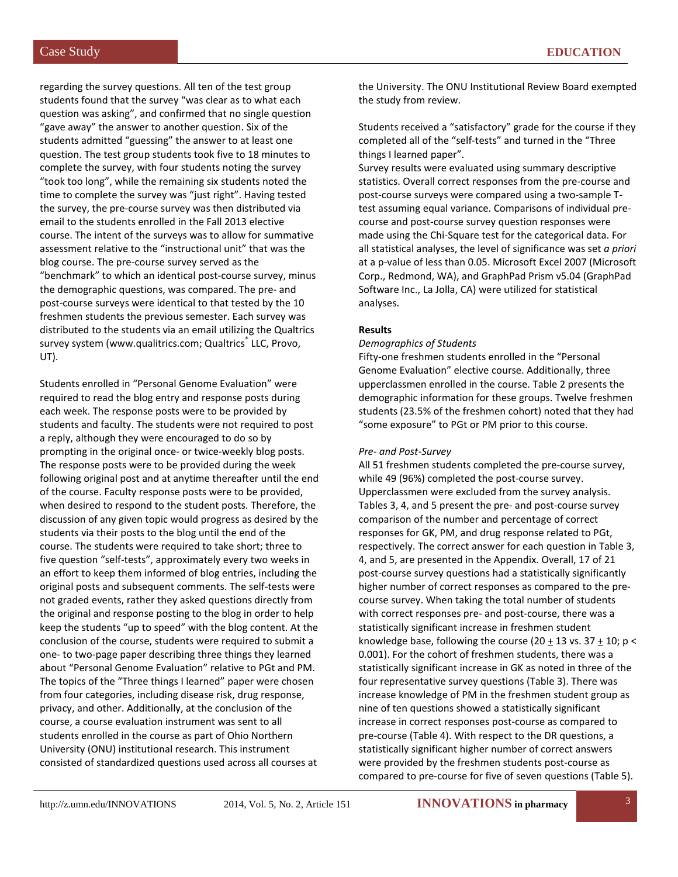regarding the survey questions. All ten of the test group students found that the survey "was clear as to what each question was asking", and confirmed that no single question "gave away" the answer to another question. Six of the students admitted "guessing" the answer to at least one question. The test group students took five to 18 minutes to complete the survey, with four students noting the survey "took too long", while the remaining six students noted the time to complete the survey was "just right". Having tested the survey, the pre-course survey was then distributed via email to the students enrolled in the Fall 2013 elective course. The intent of the surveys was to allow for summative assessment relative to the "instructional unit" that was the blog course. The pre-course survey served as the "benchmark" to which an identical post-course survey, minus the demographic questions, was compared. The pre- and post-course surveys were identical to that tested by the 10 freshmen students the previous semester. Each survey was distributed to the students via an email utilizing the Qualtrics survey system (www.qualitrics.com; Qualtrics® LLC, Provo, UT).

Students enrolled in "Personal Genome Evaluation" were required to read the blog entry and response posts during each week. The response posts were to be provided by students and faculty. The students were not required to post a reply, although they were encouraged to do so by prompting in the original once- or twice-weekly blog posts. The response posts were to be provided during the week following original post and at anytime thereafter until the end of the course. Faculty response posts were to be provided, when desired to respond to the student posts. Therefore, the discussion of any given topic would progress as desired by the students via their posts to the blog until the end of the course. The students were required to take short; three to five question "self-tests", approximately every two weeks in an effort to keep them informed of blog entries, including the original posts and subsequent comments. The self-tests were not graded events, rather they asked questions directly from the original and response posting to the blog in order to help keep the students "up to speed" with the blog content. At the conclusion of the course, students were required to submit a one- to two-page paper describing three things they learned about "Personal Genome Evaluation" relative to PGt and PM. The topics of the "Three things I learned" paper were chosen from four categories, including disease risk, drug response, privacy, and other. Additionally, at the conclusion of the course, a course evaluation instrument was sent to all students enrolled in the course as part of Ohio Northern University (ONU) institutional research. This instrument consisted of standardized questions used across all courses at

the University. The ONU Institutional Review Board exempted the study from review.

Students received a "satisfactory" grade for the course if they completed all of the "self-tests" and turned in the "Three things I learned paper".

Survey results were evaluated using summary descriptive statistics. Overall correct responses from the pre-course and post-course surveys were compared using a two-sample Ttest assuming equal variance. Comparisons of individual precourse and post-course survey question responses were made using the Chi-Square test for the categorical data. For all statistical analyses, the level of significance was set *a priori* at a p-value of less than 0.05. Microsoft Excel 2007 (Microsoft Corp., Redmond, WA), and GraphPad Prism v5.04 (GraphPad Software Inc., La Jolla, CA) were utilized for statistical analyses.

#### **Results**

#### *Demographics of Students*

Fifty-one freshmen students enrolled in the "Personal Genome Evaluation" elective course. Additionally, three upperclassmen enrolled in the course. Table 2 presents the demographic information for these groups. Twelve freshmen students (23.5% of the freshmen cohort) noted that they had "some exposure" to PGt or PM prior to this course.

#### *Pre- and Post-Survey*

All 51 freshmen students completed the pre-course survey, while 49 (96%) completed the post-course survey. Upperclassmen were excluded from the survey analysis. Tables 3, 4, and 5 present the pre- and post-course survey comparison of the number and percentage of correct responses for GK, PM, and drug response related to PGt, respectively. The correct answer for each question in Table 3, 4, and 5, are presented in the Appendix. Overall, 17 of 21 post-course survey questions had a statistically significantly higher number of correct responses as compared to the precourse survey. When taking the total number of students with correct responses pre- and post-course, there was a statistically significant increase in freshmen student knowledge base, following the course (20 + 13 vs.  $37 + 10$ ; p < 0.001). For the cohort of freshmen students, there was a statistically significant increase in GK as noted in three of the four representative survey questions (Table 3). There was increase knowledge of PM in the freshmen student group as nine of ten questions showed a statistically significant increase in correct responses post-course as compared to pre-course (Table 4). With respect to the DR questions, a statistically significant higher number of correct answers were provided by the freshmen students post-course as compared to pre-course for five of seven questions (Table 5).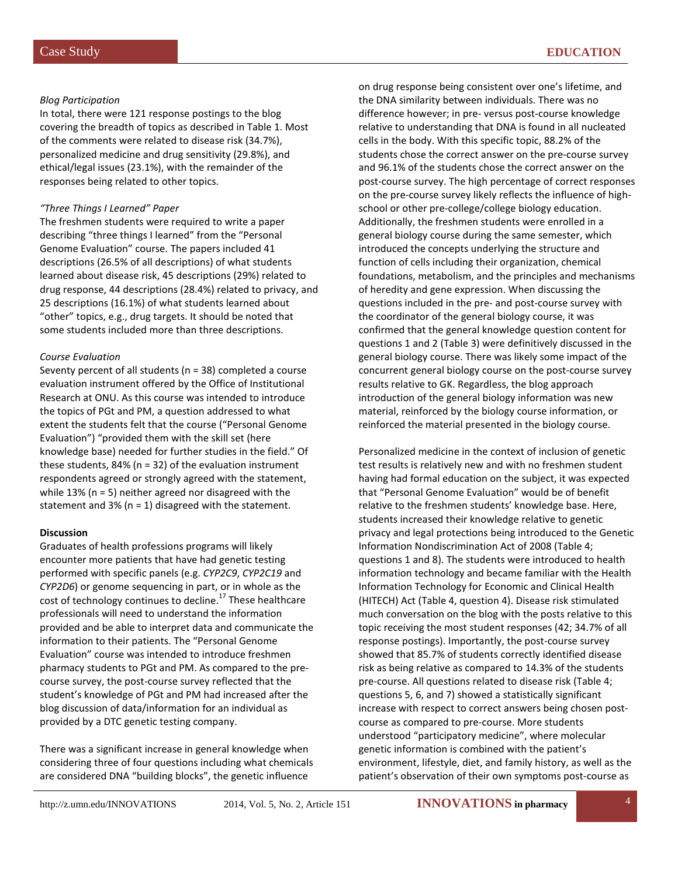#### *Blog Participation*

In total, there were 121 response postings to the blog covering the breadth of topics as described in Table 1. Most of the comments were related to disease risk (34.7%), personalized medicine and drug sensitivity (29.8%), and ethical/legal issues (23.1%), with the remainder of the responses being related to other topics.

#### *"Three Things I Learned" Paper*

The freshmen students were required to write a paper describing "three things I learned" from the "Personal Genome Evaluation" course. The papers included 41 descriptions (26.5% of all descriptions) of what students learned about disease risk, 45 descriptions (29%) related to drug response, 44 descriptions (28.4%) related to privacy, and 25 descriptions (16.1%) of what students learned about "other" topics, e.g., drug targets. It should be noted that some students included more than three descriptions.

#### *Course Evaluation*

Seventy percent of all students (n = 38) completed a course evaluation instrument offered by the Office of Institutional Research at ONU. As this course was intended to introduce the topics of PGt and PM, a question addressed to what extent the students felt that the course ("Personal Genome Evaluation") "provided them with the skill set (here knowledge base) needed for further studies in the field." Of these students, 84% (n = 32) of the evaluation instrument respondents agreed or strongly agreed with the statement, while 13% (n = 5) neither agreed nor disagreed with the statement and 3% (n = 1) disagreed with the statement.

#### **Discussion**

Graduates of health professions programs will likely encounter more patients that have had genetic testing performed with specific panels (e.g. *CYP2C9*, *CYP2C19* and *CYP2D6*) or genome sequencing in part, or in whole as the cost of technology continues to decline.<sup>17</sup> These healthcare professionals will need to understand the information provided and be able to interpret data and communicate the information to their patients. The "Personal Genome Evaluation" course was intended to introduce freshmen pharmacy students to PGt and PM. As compared to the precourse survey, the post-course survey reflected that the student's knowledge of PGt and PM had increased after the blog discussion of data/information for an individual as provided by a DTC genetic testing company.

There was a significant increase in general knowledge when considering three of four questions including what chemicals are considered DNA "building blocks", the genetic influence

on drug response being consistent over one's lifetime, and the DNA similarity between individuals. There was no difference however; in pre- versus post-course knowledge relative to understanding that DNA is found in all nucleated cells in the body. With this specific topic, 88.2% of the students chose the correct answer on the pre-course survey and 96.1% of the students chose the correct answer on the post-course survey. The high percentage of correct responses on the pre-course survey likely reflects the influence of highschool or other pre-college/college biology education. Additionally, the freshmen students were enrolled in a general biology course during the same semester, which introduced the concepts underlying the structure and function of cells including their organization, chemical foundations, metabolism, and the principles and mechanisms of heredity and gene expression. When discussing the questions included in the pre- and post-course survey with the coordinator of the general biology course, it was confirmed that the general knowledge question content for questions 1 and 2 (Table 3) were definitively discussed in the general biology course. There was likely some impact of the concurrent general biology course on the post-course survey results relative to GK. Regardless, the blog approach introduction of the general biology information was new material, reinforced by the biology course information, or reinforced the material presented in the biology course.

Personalized medicine in the context of inclusion of genetic test results is relatively new and with no freshmen student having had formal education on the subject, it was expected that "Personal Genome Evaluation" would be of benefit relative to the freshmen students' knowledge base. Here, students increased their knowledge relative to genetic privacy and legal protections being introduced to the Genetic Information Nondiscrimination Act of 2008 (Table 4; questions 1 and 8). The students were introduced to health information technology and became familiar with the Health Information Technology for Economic and Clinical Health (HITECH) Act (Table 4, question 4). Disease risk stimulated much conversation on the blog with the posts relative to this topic receiving the most student responses (42; 34.7% of all response postings). Importantly, the post-course survey showed that 85.7% of students correctly identified disease risk as being relative as compared to 14.3% of the students pre-course. All questions related to disease risk (Table 4; questions 5, 6, and 7) showed a statistically significant increase with respect to correct answers being chosen postcourse as compared to pre-course. More students understood "participatory medicine", where molecular genetic information is combined with the patient's environment, lifestyle, diet, and family history, as well as the patient's observation of their own symptoms post-course as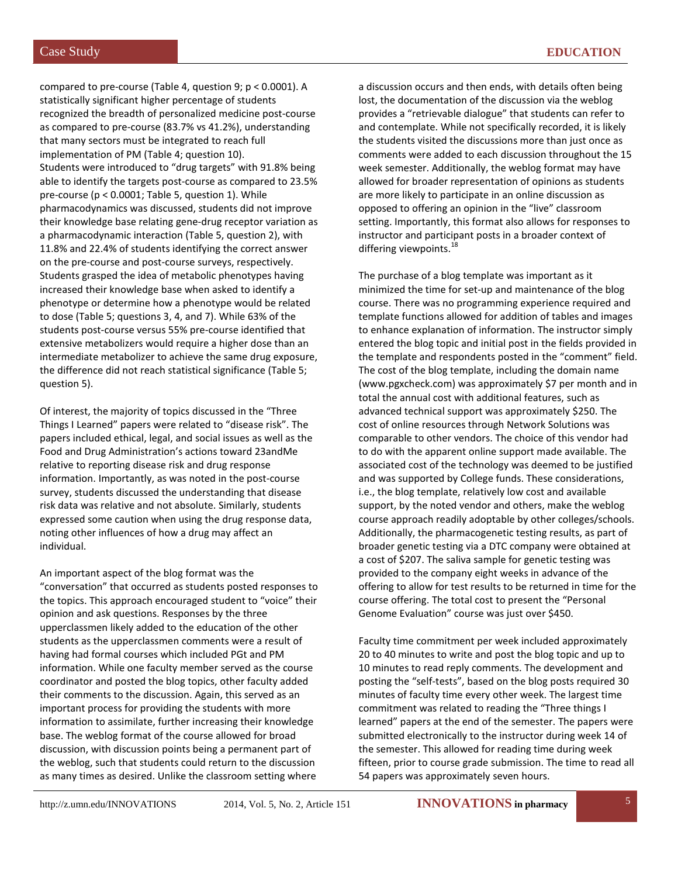compared to pre-course (Table 4, question 9; p < 0.0001). A statistically significant higher percentage of students recognized the breadth of personalized medicine post-course as compared to pre-course (83.7% vs 41.2%), understanding that many sectors must be integrated to reach full implementation of PM (Table 4; question 10). Students were introduced to "drug targets" with 91.8% being able to identify the targets post-course as compared to 23.5% pre-course (p < 0.0001; Table 5, question 1). While pharmacodynamics was discussed, students did not improve their knowledge base relating gene-drug receptor variation as a pharmacodynamic interaction (Table 5, question 2), with 11.8% and 22.4% of students identifying the correct answer on the pre-course and post-course surveys, respectively. Students grasped the idea of metabolic phenotypes having increased their knowledge base when asked to identify a phenotype or determine how a phenotype would be related to dose (Table 5; questions 3, 4, and 7). While 63% of the students post-course versus 55% pre-course identified that extensive metabolizers would require a higher dose than an intermediate metabolizer to achieve the same drug exposure, the difference did not reach statistical significance (Table 5; question 5).

Of interest, the majority of topics discussed in the "Three Things I Learned" papers were related to "disease risk". The papers included ethical, legal, and social issues as well as the Food and Drug Administration's actions toward 23andMe relative to reporting disease risk and drug response information. Importantly, as was noted in the post-course survey, students discussed the understanding that disease risk data was relative and not absolute. Similarly, students expressed some caution when using the drug response data, noting other influences of how a drug may affect an individual.

An important aspect of the blog format was the "conversation" that occurred as students posted responses to the topics. This approach encouraged student to "voice" their opinion and ask questions. Responses by the three upperclassmen likely added to the education of the other students as the upperclassmen comments were a result of having had formal courses which included PGt and PM information. While one faculty member served as the course coordinator and posted the blog topics, other faculty added their comments to the discussion. Again, this served as an important process for providing the students with more information to assimilate, further increasing their knowledge base. The weblog format of the course allowed for broad discussion, with discussion points being a permanent part of the weblog, such that students could return to the discussion as many times as desired. Unlike the classroom setting where

a discussion occurs and then ends, with details often being lost, the documentation of the discussion via the weblog provides a "retrievable dialogue" that students can refer to and contemplate. While not specifically recorded, it is likely the students visited the discussions more than just once as comments were added to each discussion throughout the 15 week semester. Additionally, the weblog format may have allowed for broader representation of opinions as students are more likely to participate in an online discussion as opposed to offering an opinion in the "live" classroom setting. Importantly, this format also allows for responses to instructor and participant posts in a broader context of differing viewpoints. $^{18}$ 

The purchase of a blog template was important as it minimized the time for set-up and maintenance of the blog course. There was no programming experience required and template functions allowed for addition of tables and images to enhance explanation of information. The instructor simply entered the blog topic and initial post in the fields provided in the template and respondents posted in the "comment" field. The cost of the blog template, including the domain name (www.pgxcheck.com) was approximately \$7 per month and in total the annual cost with additional features, such as advanced technical support was approximately \$250. The cost of online resources through Network Solutions was comparable to other vendors. The choice of this vendor had to do with the apparent online support made available. The associated cost of the technology was deemed to be justified and was supported by College funds. These considerations, i.e., the blog template, relatively low cost and available support, by the noted vendor and others, make the weblog course approach readily adoptable by other colleges/schools. Additionally, the pharmacogenetic testing results, as part of broader genetic testing via a DTC company were obtained at a cost of \$207. The saliva sample for genetic testing was provided to the company eight weeks in advance of the offering to allow for test results to be returned in time for the course offering. The total cost to present the "Personal Genome Evaluation" course was just over \$450.

Faculty time commitment per week included approximately 20 to 40 minutes to write and post the blog topic and up to 10 minutes to read reply comments. The development and posting the "self-tests", based on the blog posts required 30 minutes of faculty time every other week. The largest time commitment was related to reading the "Three things I learned" papers at the end of the semester. The papers were submitted electronically to the instructor during week 14 of the semester. This allowed for reading time during week fifteen, prior to course grade submission. The time to read all 54 papers was approximately seven hours.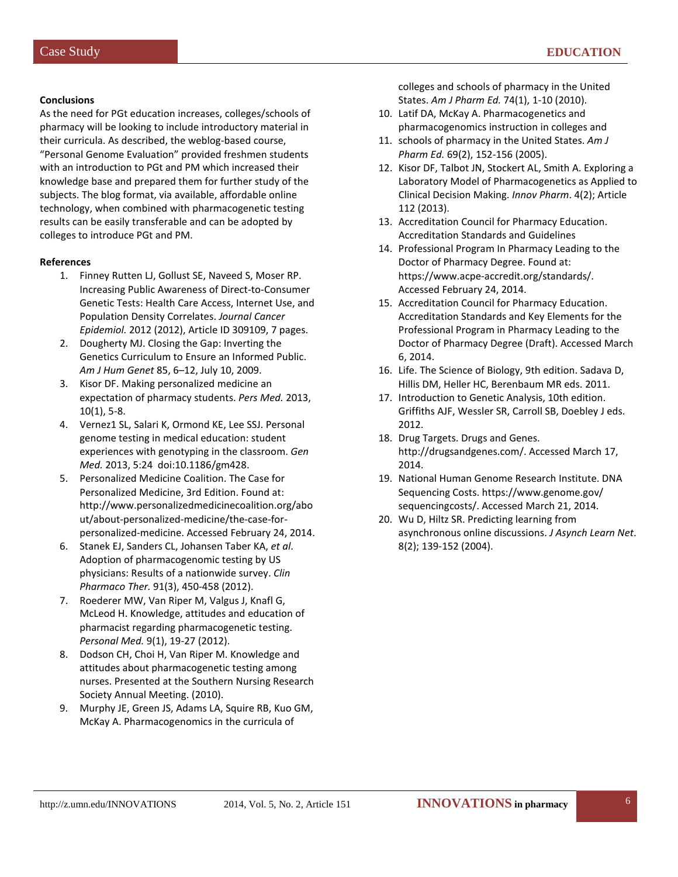#### **Conclusions**

As the need for PGt education increases, colleges/schools of pharmacy will be looking to include introductory material in their curricula. As described, the weblog-based course, "Personal Genome Evaluation" provided freshmen students with an introduction to PGt and PM which increased their knowledge base and prepared them for further study of the subjects. The blog format, via available, affordable online technology, when combined with pharmacogenetic testing results can be easily transferable and can be adopted by colleges to introduce PGt and PM.

#### **References**

- 1. Finney Rutten LJ, Gollust SE, Naveed S, Moser RP. Increasing Public Awareness of Direct-to-Consumer Genetic Tests: Health Care Access, Internet Use, and Population Density Correlates. *Journal Cancer Epidemiol.* 2012 (2012), Article ID 309109, 7 pages.
- 2. Dougherty MJ. Closing the Gap: Inverting the Genetics Curriculum to Ensure an Informed Public. *Am J Hum Genet* 85, 6–12, July 10, 2009.
- 3. Kisor DF. Making personalized medicine an expectation of pharmacy students. *Pers Med.* 2013, 10(1), 5-8.
- 4. Vernez1 SL, Salari K, Ormond KE, Lee SSJ. Personal genome testing in medical education: student experiences with genotyping in the classroom. *Gen Med.* 2013, 5:24 doi:10.1186/gm428.
- 5. Personalized Medicine Coalition. The Case for Personalized Medicine, 3rd Edition. Found at: http://www.personalizedmedicinecoalition.org/abo ut/about-personalized-medicine/the-case-forpersonalized-medicine. Accessed February 24, 2014.
- 6. Stanek EJ, Sanders CL, Johansen Taber KA, *et al*. Adoption of pharmacogenomic testing by US physicians: Results of a nationwide survey. *Clin Pharmaco Ther.* 91(3), 450-458 (2012).
- 7. Roederer MW, Van Riper M, Valgus J, Knafl G, McLeod H. Knowledge, attitudes and education of pharmacist regarding pharmacogenetic testing. *Personal Med.* 9(1), 19-27 (2012).
- 8. Dodson CH, Choi H, Van Riper M. Knowledge and attitudes about pharmacogenetic testing among nurses. Presented at the Southern Nursing Research Society Annual Meeting. (2010).
- 9. Murphy JE, Green JS, Adams LA, Squire RB, Kuo GM, McKay A. Pharmacogenomics in the curricula of

colleges and schools of pharmacy in the United States. *Am J Pharm Ed.* 74(1), 1-10 (2010).

- 10. Latif DA, McKay A. Pharmacogenetics and pharmacogenomics instruction in colleges and
- 11. schools of pharmacy in the United States. *Am J Pharm Ed.* 69(2), 152-156 (2005).
- 12. Kisor DF, Talbot JN, Stockert AL, Smith A. Exploring a Laboratory Model of Pharmacogenetics as Applied to Clinical Decision Making. *Innov Pharm*. 4(2); Article 112 (2013).
- 13. Accreditation Council for Pharmacy Education. Accreditation Standards and Guidelines
- 14. Professional Program In Pharmacy Leading to the Doctor of Pharmacy Degree. Found at: https://www.acpe-accredit.org/standards/. Accessed February 24, 2014.
- 15. Accreditation Council for Pharmacy Education. Accreditation Standards and Key Elements for the Professional Program in Pharmacy Leading to the Doctor of Pharmacy Degree (Draft). Accessed March 6, 2014.
- 16. Life. The Science of Biology, 9th edition. Sadava D, Hillis DM, Heller HC, Berenbaum MR eds. 2011.
- 17. Introduction to Genetic Analysis, 10th edition. Griffiths AJF, Wessler SR, Carroll SB, Doebley J eds. 2012.
- 18. Drug Targets. Drugs and Genes. http://drugsandgenes.com/. Accessed March 17, 2014.
- 19. National Human Genome Research Institute. DNA Sequencing Costs. https://www.genome.gov/ sequencingcosts/. Accessed March 21, 2014.
- 20. Wu D, Hiltz SR. Predicting learning from asynchronous online discussions. *J Asynch Learn Net*. 8(2); 139-152 (2004).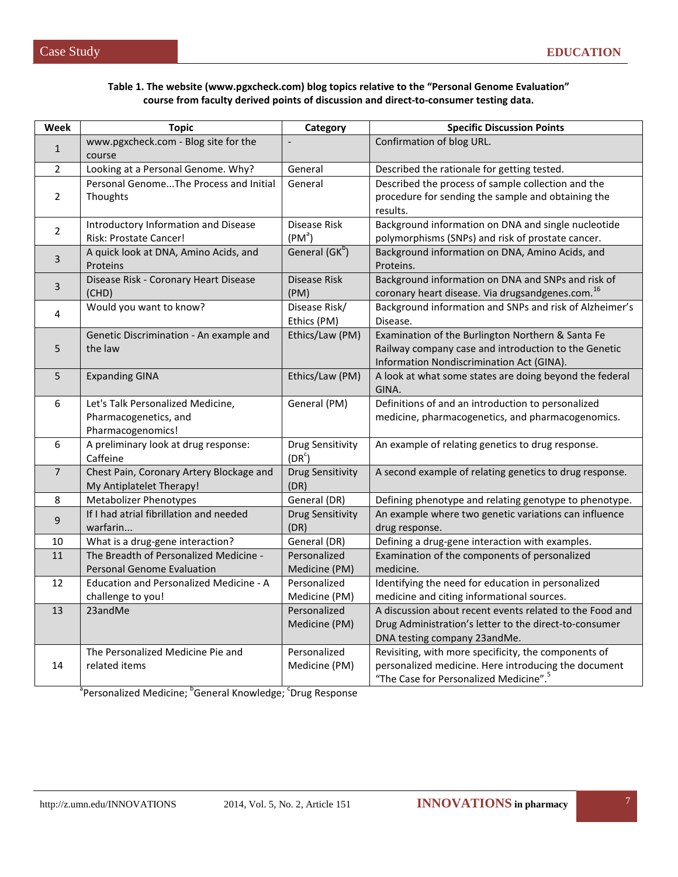| Week           | <b>Topic</b>                                               | Category                   | <b>Specific Discussion Points</b>                                                                       |  |
|----------------|------------------------------------------------------------|----------------------------|---------------------------------------------------------------------------------------------------------|--|
|                | www.pgxcheck.com - Blog site for the                       |                            | Confirmation of blog URL.                                                                               |  |
| $\mathbf{1}$   | course                                                     |                            |                                                                                                         |  |
| $\overline{2}$ | Looking at a Personal Genome. Why?                         | General                    | Described the rationale for getting tested.                                                             |  |
|                | Personal GenomeThe Process and Initial                     | General                    | Described the process of sample collection and the                                                      |  |
| $\overline{2}$ | Thoughts                                                   |                            | procedure for sending the sample and obtaining the                                                      |  |
|                |                                                            |                            | results.                                                                                                |  |
| $\overline{2}$ | <b>Introductory Information and Disease</b>                | Disease Risk               | Background information on DNA and single nucleotide                                                     |  |
|                | Risk: Prostate Cancer!                                     | (PM <sup>a</sup> )         | polymorphisms (SNPs) and risk of prostate cancer.                                                       |  |
| 3              | A quick look at DNA, Amino Acids, and                      | General (GK <sup>b</sup> ) | Background information on DNA, Amino Acids, and                                                         |  |
|                | Proteins                                                   |                            | Proteins.                                                                                               |  |
| 3              | Disease Risk - Coronary Heart Disease                      | Disease Risk               | Background information on DNA and SNPs and risk of                                                      |  |
|                | (CHD)                                                      | (PM)                       | coronary heart disease. Via drugsandgenes.com. <sup>16</sup>                                            |  |
| 4              | Would you want to know?                                    | Disease Risk/              | Background information and SNPs and risk of Alzheimer's                                                 |  |
|                |                                                            | Ethics (PM)                | Disease.                                                                                                |  |
|                | Genetic Discrimination - An example and                    | Ethics/Law (PM)            | Examination of the Burlington Northern & Santa Fe                                                       |  |
| 5              | the law                                                    |                            | Railway company case and introduction to the Genetic                                                    |  |
|                |                                                            |                            | Information Nondiscrimination Act (GINA).                                                               |  |
| 5              | <b>Expanding GINA</b>                                      | Ethics/Law (PM)            | A look at what some states are doing beyond the federal                                                 |  |
|                |                                                            |                            | GINA.                                                                                                   |  |
| 6              | Let's Talk Personalized Medicine,<br>Pharmacogenetics, and | General (PM)               | Definitions of and an introduction to personalized<br>medicine, pharmacogenetics, and pharmacogenomics. |  |
|                | Pharmacogenomics!                                          |                            |                                                                                                         |  |
| 6              | A preliminary look at drug response:                       | <b>Drug Sensitivity</b>    | An example of relating genetics to drug response.                                                       |  |
|                | Caffeine                                                   | $(DR^c)$                   |                                                                                                         |  |
| $\overline{7}$ | Chest Pain, Coronary Artery Blockage and                   | <b>Drug Sensitivity</b>    | A second example of relating genetics to drug response.                                                 |  |
|                | My Antiplatelet Therapy!                                   | (DR)                       |                                                                                                         |  |
| 8              | <b>Metabolizer Phenotypes</b>                              | General (DR)               | Defining phenotype and relating genotype to phenotype.                                                  |  |
|                | If I had atrial fibrillation and needed                    | Drug Sensitivity           | An example where two genetic variations can influence                                                   |  |
| 9              | warfarin                                                   | (DR)                       | drug response.                                                                                          |  |
| 10             | What is a drug-gene interaction?                           | General (DR)               | Defining a drug-gene interaction with examples.                                                         |  |
| 11             | The Breadth of Personalized Medicine -                     | Personalized               | Examination of the components of personalized                                                           |  |
|                | <b>Personal Genome Evaluation</b>                          | Medicine (PM)              | medicine.                                                                                               |  |
| 12             | Education and Personalized Medicine - A                    | Personalized               | Identifying the need for education in personalized                                                      |  |
|                | challenge to you!                                          | Medicine (PM)              | medicine and citing informational sources.                                                              |  |
| 13             | 23andMe                                                    | Personalized               | A discussion about recent events related to the Food and                                                |  |
|                |                                                            | Medicine (PM)              | Drug Administration's letter to the direct-to-consumer                                                  |  |
|                |                                                            |                            | DNA testing company 23andMe.                                                                            |  |
|                | The Personalized Medicine Pie and                          | Personalized               | Revisiting, with more specificity, the components of                                                    |  |
| 14             | related items                                              | Medicine (PM)              | personalized medicine. Here introducing the document                                                    |  |
|                |                                                            |                            | "The Case for Personalized Medicine". <sup>5</sup>                                                      |  |

a<br>Personalized Medicine; <sup>b</sup>General Knowledge; <sup>c</sup>Drug Response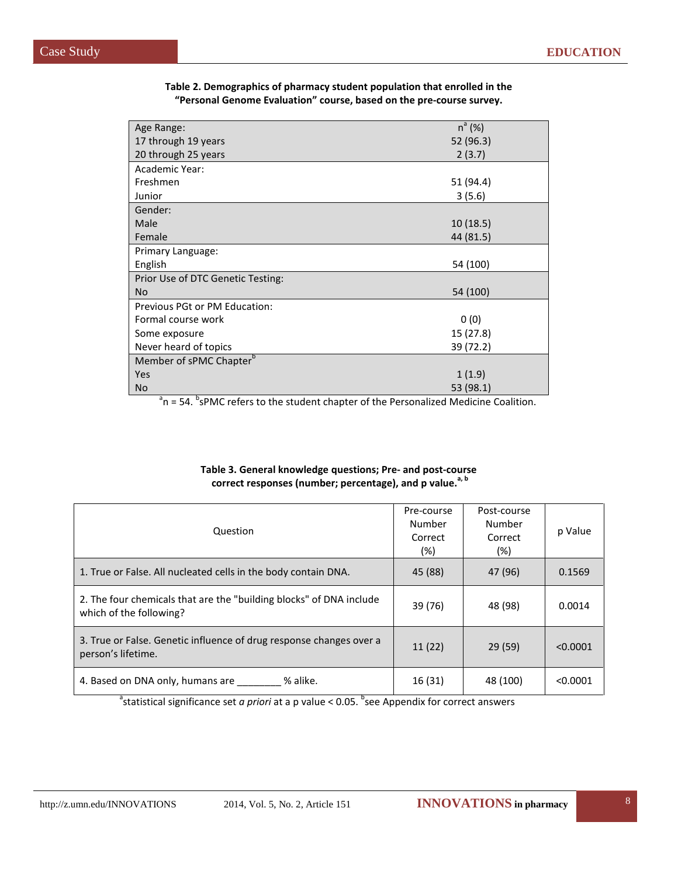| Age Range:                          | $n^{a}$ (%) |
|-------------------------------------|-------------|
| 17 through 19 years                 | 52 (96.3)   |
| 20 through 25 years                 | 2(3.7)      |
| Academic Year:                      |             |
| Freshmen                            | 51 (94.4)   |
| Junior                              | 3(5.6)      |
| Gender:                             |             |
| Male                                | 10(18.5)    |
| Female                              | 44 (81.5)   |
| Primary Language:                   |             |
| English                             | 54 (100)    |
| Prior Use of DTC Genetic Testing:   |             |
| No.                                 | 54 (100)    |
| Previous PGt or PM Education:       |             |
| Formal course work                  | 0(0)        |
| Some exposure                       | 15 (27.8)   |
| Never heard of topics               | 39 (72.2)   |
| Member of sPMC Chapter <sup>b</sup> |             |
| Yes                                 | 1(1.9)      |
| No                                  | 53 (98.1)   |

#### **Table 2. Demographics of pharmacy student population that enrolled in the "Personal Genome Evaluation" course, based on the pre-course survey.**

 $a^a$ n = 54.  $b^b$ sPMC refers to the student chapter of the Personalized Medicine Coalition.

#### **Table 3. General knowledge questions; Pre- and post-course correct responses (number; percentage), and p value.a, b**

| Question                                                                                       | Pre-course<br>Number<br>Correct<br>(%) | Post-course<br>Number<br>Correct<br>(%) | p Value  |
|------------------------------------------------------------------------------------------------|----------------------------------------|-----------------------------------------|----------|
| 1. True or False. All nucleated cells in the body contain DNA.                                 | 45 (88)                                | 47 (96)                                 | 0.1569   |
| 2. The four chemicals that are the "building blocks" of DNA include<br>which of the following? | 39 (76)                                | 48 (98)                                 | 0.0014   |
| 3. True or False. Genetic influence of drug response changes over a<br>person's lifetime.      | 11(22)                                 | 29(59)                                  | < 0.0001 |
| % alike.<br>4. Based on DNA only, humans are                                                   | 16 (31)                                | 48 (100)                                | < 0.0001 |

<sup>a</sup>statistical significance set *a priori* at a p value < 0.05. <sup>b</sup>see Appendix for correct answers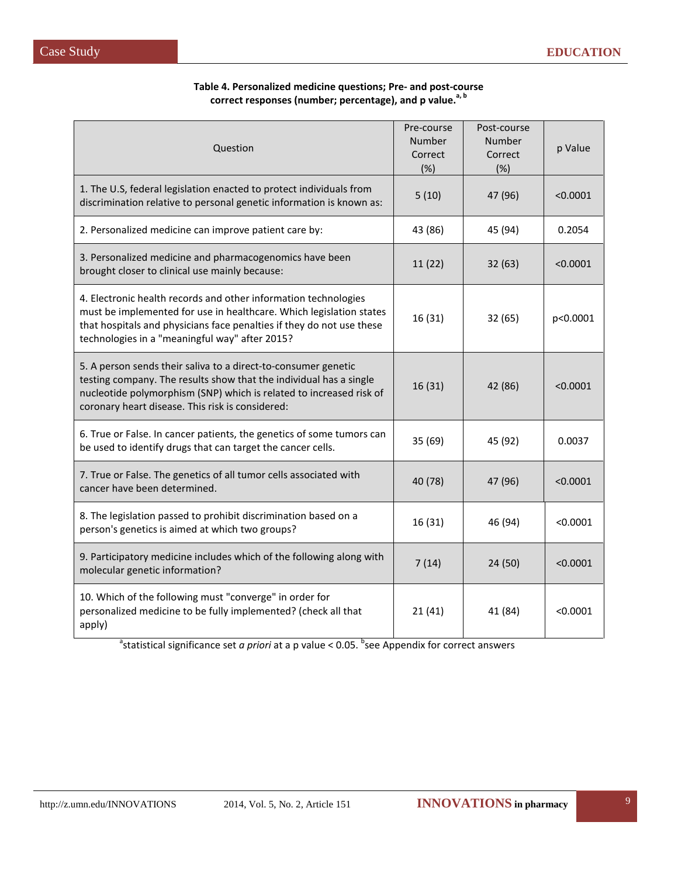| Question                                                                                                                                                                                                                                                          | Pre-course<br>Number<br>Correct<br>(%) | Post-course<br>Number<br>Correct<br>(%) | p Value  |
|-------------------------------------------------------------------------------------------------------------------------------------------------------------------------------------------------------------------------------------------------------------------|----------------------------------------|-----------------------------------------|----------|
| 1. The U.S, federal legislation enacted to protect individuals from<br>discrimination relative to personal genetic information is known as:                                                                                                                       | 5(10)                                  | 47 (96)                                 | < 0.0001 |
| 2. Personalized medicine can improve patient care by:                                                                                                                                                                                                             | 43 (86)                                | 45 (94)                                 | 0.2054   |
| 3. Personalized medicine and pharmacogenomics have been<br>brought closer to clinical use mainly because:                                                                                                                                                         | 11(22)                                 | 32(63)                                  | < 0.0001 |
| 4. Electronic health records and other information technologies<br>must be implemented for use in healthcare. Which legislation states<br>that hospitals and physicians face penalties if they do not use these<br>technologies in a "meaningful way" after 2015? | 16 (31)                                | 32 (65)                                 | p<0.0001 |
| 5. A person sends their saliva to a direct-to-consumer genetic<br>testing company. The results show that the individual has a single<br>nucleotide polymorphism (SNP) which is related to increased risk of<br>coronary heart disease. This risk is considered:   | 16(31)                                 | 42 (86)                                 | < 0.0001 |
| 6. True or False. In cancer patients, the genetics of some tumors can<br>be used to identify drugs that can target the cancer cells.                                                                                                                              | 35 (69)                                | 45 (92)                                 | 0.0037   |
| 7. True or False. The genetics of all tumor cells associated with<br>cancer have been determined.                                                                                                                                                                 | 40 (78)                                | 47 (96)                                 | < 0.0001 |
| 8. The legislation passed to prohibit discrimination based on a<br>person's genetics is aimed at which two groups?                                                                                                                                                | 16 (31)                                | 46 (94)                                 | < 0.0001 |
| 9. Participatory medicine includes which of the following along with<br>molecular genetic information?                                                                                                                                                            | 7(14)                                  | 24(50)                                  | < 0.0001 |
| 10. Which of the following must "converge" in order for<br>personalized medicine to be fully implemented? (check all that<br>apply)                                                                                                                               | 21(41)                                 | 41 (84)                                 | < 0.0001 |

**Table 4. Personalized medicine questions; Pre- and post-course**  correct responses (number; percentage), and p value.<sup>a, b</sup>

<sup>a</sup>statistical significance set *a priori* at a p value < 0.05. <sup>b</sup>see Appendix for correct answers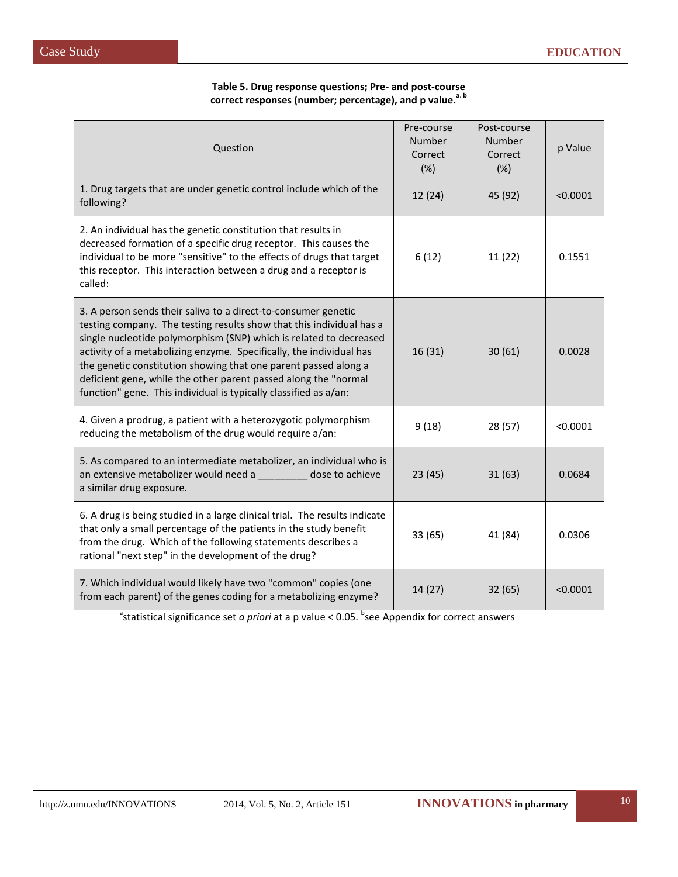#### **Table 5. Drug response questions; Pre- and post-course**  correct responses (number; percentage), and p value.<sup>a.b</sup>

| Question                                                                                                                                                                                                                                                                                                                                                                                                                                                                                      | Pre-course<br>Number<br>Correct<br>(%) | Post-course<br>Number<br>Correct<br>(%) | p Value  |
|-----------------------------------------------------------------------------------------------------------------------------------------------------------------------------------------------------------------------------------------------------------------------------------------------------------------------------------------------------------------------------------------------------------------------------------------------------------------------------------------------|----------------------------------------|-----------------------------------------|----------|
| 1. Drug targets that are under genetic control include which of the<br>following?                                                                                                                                                                                                                                                                                                                                                                                                             | 12(24)                                 | 45 (92)                                 | < 0.0001 |
| 2. An individual has the genetic constitution that results in<br>decreased formation of a specific drug receptor. This causes the<br>individual to be more "sensitive" to the effects of drugs that target<br>this receptor. This interaction between a drug and a receptor is<br>called:                                                                                                                                                                                                     | 6(12)                                  | 11 (22)                                 | 0.1551   |
| 3. A person sends their saliva to a direct-to-consumer genetic<br>testing company. The testing results show that this individual has a<br>single nucleotide polymorphism (SNP) which is related to decreased<br>activity of a metabolizing enzyme. Specifically, the individual has<br>the genetic constitution showing that one parent passed along a<br>deficient gene, while the other parent passed along the "normal<br>function" gene. This individual is typically classified as a/an: | 16(31)                                 | 30(61)                                  | 0.0028   |
| 4. Given a prodrug, a patient with a heterozygotic polymorphism<br>reducing the metabolism of the drug would require a/an:                                                                                                                                                                                                                                                                                                                                                                    | 9(18)                                  | 28 (57)                                 | < 0.0001 |
| 5. As compared to an intermediate metabolizer, an individual who is<br>an extensive metabolizer would need a<br><b>Example 20 dose to achieve</b><br>a similar drug exposure.                                                                                                                                                                                                                                                                                                                 | 23(45)                                 | 31(63)                                  | 0.0684   |
| 6. A drug is being studied in a large clinical trial. The results indicate<br>that only a small percentage of the patients in the study benefit<br>from the drug. Which of the following statements describes a<br>rational "next step" in the development of the drug?                                                                                                                                                                                                                       | 33 (65)                                | 41 (84)                                 | 0.0306   |
| 7. Which individual would likely have two "common" copies (one<br>from each parent) of the genes coding for a metabolizing enzyme?                                                                                                                                                                                                                                                                                                                                                            | 14(27)                                 | 32(65)                                  | < 0.0001 |

<sup>a</sup>statistical significance set *a priori* at a p value < 0.05. <sup>b</sup>see Appendix for correct answers